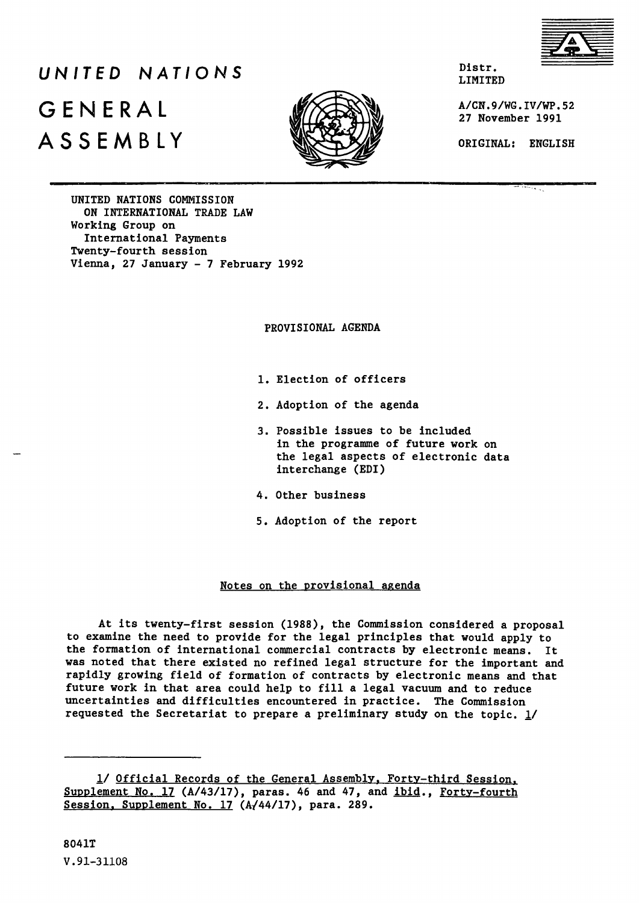

# *UNITED NATIONS*  $G F N F R A I$  *K* **A A CN.9/WG.IV/WP.52 ASSEMBLY ORIGINAL: ENGLISH**



Distr. LIMITED

**. 0, 27 November 1991**

**UNITED NATIONS COMMISSION ON INTERNATIONAL TRADE LAW Working Group on International Payments Twenty-fourth session Vienna, 27 January - 7 February 1992**

**PROVISIONAL AGENDA**

- **1. Election of officers**
- **2. Adoption of the agenda**
- **3. Possible issues to be included in the programme of future work on the legal aspects of electronic data interchange (EDI)**
- **4. Other business**
- **5. Adoption of the report**

### **Notes on the provisional agenda**

**At its twenty-first session (1988), the Commission considered a proposal to examine the need to provide for the legal principles that would apply to the formation of international commercial contracts by electronic means. It was noted that there existed no refined legal structure for the important and rapidly growing field of formation of contracts by electronic means and that future work in that area could help to fill a legal vacuum and to reduce uncertainties and difficulties encountered in practice. The Commission requested the Secretariat to prepare a preliminary study on the topic. 1/**

**<sup>1/</sup> Official Records of the General Assembly. Forty-third Session^ Supplement No. 17 (A/43/17), paras. 46 and 47, and ibid., Fortv-fourth Session. Supplement No. 17 (A/44/17), para. 289.**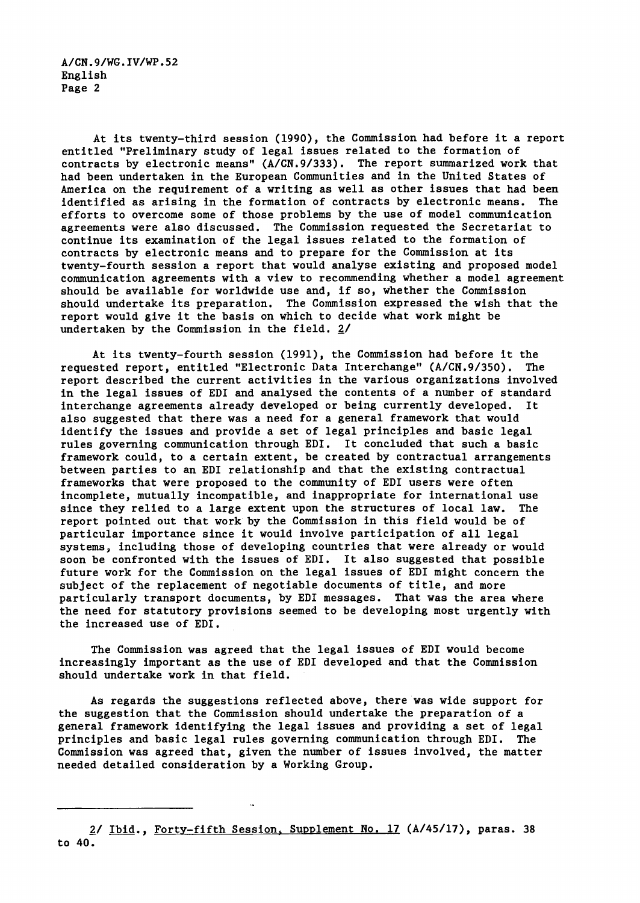**A/CN.9/WG.IV/WP.52 English Page 2**

**At its twenty-third session (1990), the Commission had before it a report entitled "Preliminary study of legal issues related to the formation of** contracts by electronic means" (A/CN.9/333). The report summarized work that **had been undertaken in the European Communities and in the United States of America on the requirement of a writing as well as other issues that had been identified as arising in the formation of contracts by electronic means. The efforts to overcome some of those problems by the use of model communication agreements were also discussed. The Commission requested the Secretariat to continue its examination of the legal issues related to the formation of contracts by electronic means and to prepare for the Commission at its twenty-fourth session a report that would analyse existing and proposed model communication agreements with a view to recommending whether a model agreement should be available for worldwide use and, if so, whether the Commission should undertake its preparation. The Commission expressed the wish that the report would give it the basis on which to decide what work might be undertaken by the Commission in the field. 2/**

**At its twenty-fourth session (1991), the Commission had before it the requested report, entitled "Electronic Data Interchange" (A/CN.9/350). The report described the current activities in the various organizations involved in the legal issues of EDI and analysed the contents of a number of standard interchange agreements already developed or being currently developed. It also suggested that there was a need for a general framework that would identify the issues and provide a set of legal principles and basic legal rules governing communication through EDI. It concluded that such a basic** framework could, to a certain extent, be created by contractual arrangements **between parties to an EDI relationship and that the existing contractual frameworks that were proposed to the community of EDI users were often incomplete, mutually incompatible, and inappropriate for international use since they relied to a large extent upon the structures of local law. The report pointed out that work by the Commission in this field would be of particular importance since it would involve participation of all legal systems, including those of developing countries that were already or would soon be confronted with the issues of EDI. It also suggested that possible future work for the Commission on the legal issues of EDI might concern the subject of the replacement of negotiable documents of title, and more particularly transport documents, by EDI messages. That was the area where the need for statutory provisions seemed to be developing most urgently with the increased use of EDI.**

**The Commission was agreed that the legal issues of EDI would become increasingly important as the use of EDI developed and that the Commission should undertake work in that field.**

**As regards the suggestions reflected above, there was wide support for the suggestion that the Commission should undertake the preparation of a general framework identifying the legal issues and providing a set of legal principles and basic legal rules governing communication through EDI. The Commission was agreed that, given the number of Issues involved, the matter needed detailed consideration by a Working Group.**

**<sup>2/</sup> Ibid.. Forty-fifth Session. Supplement No. 17 (A/45/17), paras. 38 to 40.**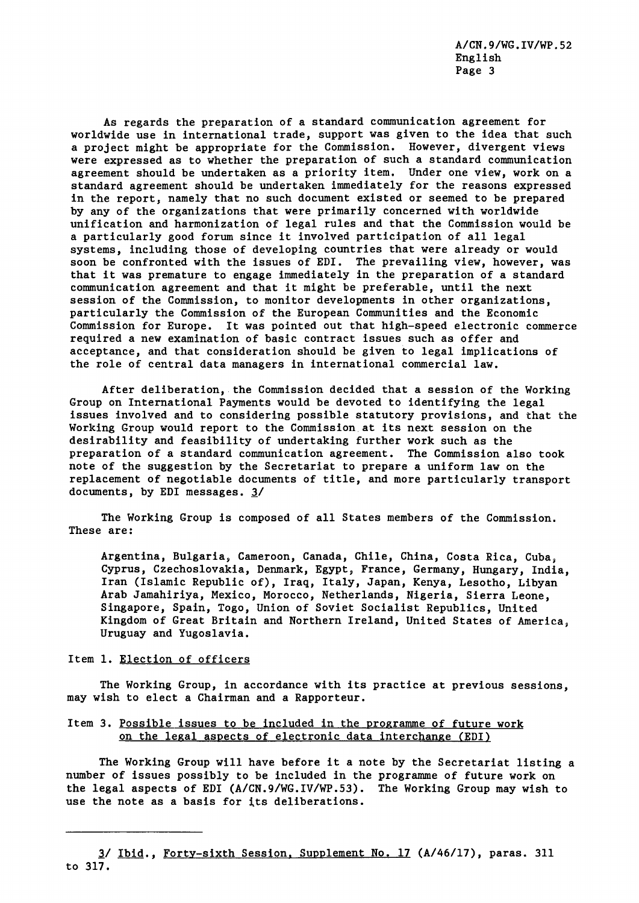**A/CN.9/WG.IV/WP.52 English Page 3**

**As regards the preparation of a standard communication agreement for worldwide use in international trade, support was given to the idea that such a project might be appropriate for the Commission. However, divergent views were expressed as to whether the preparation of such a standard communication agreement should be undertaken as a priority item. Under one view, work on a standard agreement should be undertaken immediately for the reasons expressed in the report, namely that no such document existed or seemed to be prepared by any of the organizations that were primarily concerned with worldwide unification and harmonization of legal rules and that the Commission would be a particularly good forum since it involved participation of all legal systems, including those of developing countries that were already or would soon be confronted with the issues of EDI. The prevailing view, however, was that it was premature to engage immediately in the preparation of a standard communication agreement and that it might be preferable, until the next session of the Commission, to monitor developments in other organizations, particularly the Commission of the European Communities and the Economic Commission for Europe. It was pointed out that high-speed electronic commerce required a new examination of basic contract issues such as offer and acceptance, and that consideration should be given to legal implications of the role of central data managers in international commercial law.**

**After deliberation, the Commission decided that a session of the Working Group on International Payments would be devoted to identifying the legal issues involved and to considering possible statutory provisions, and that the Working Group would report to the Commission at its next session on the desirability and feasibility of undertaking further work such as the preparation of a standard communication agreement. The Commission also took note of the suggestion by the Secretariat to prepare a uniform law on the replacement of negotiable documents of title, and more particularly transport docimients, by EDI messages. 3/**

**The Working Group is composed of all States members of the Commission. These are:**

**Argentina, Bulgaria, Cameroon, Canada, Chile, China, Costa Rica, Cuba, Cyprus, Czechoslovakia, Denmark, Egypt, France, Germany, Hungary, India, Iran (Islamic Republic of), Iraq, Italy, Japan, Kenya, Lesotho, Libyan Arab Jamahiriya, Mexico, Morocco, Netherlands, Nigeria, Sierra Leone, Singapore, Spain, Togo, Union of Soviet Socialist Republics, United Kingdom of Great Britain and Northern Ireland, United States of America, Uruguay and Yugoslavia.**

#### **Item 1. Election of officers**

**The Working Group, in accordance with its practice at previous sessions, may wish to elect a Chairman and a Rapporteur.**

## **Item 3. Possible issues to be included in the programme of future work on the legal aspects of electronic data interchange (EDI)**

**The Working Group will have before it a note by the Secretariat listing a number of issues possibly to be included in the programme of future work on the legal aspects of EDI (A/CN.9/WG.IV/WP.53). The Working Group may wish to** use the note as a basis for its deliberations.

**<sup>3/</sup> Ibid.. Forty-sixth Session. Supplement No. 17 (A/46/17), paras. 311 to 317.**